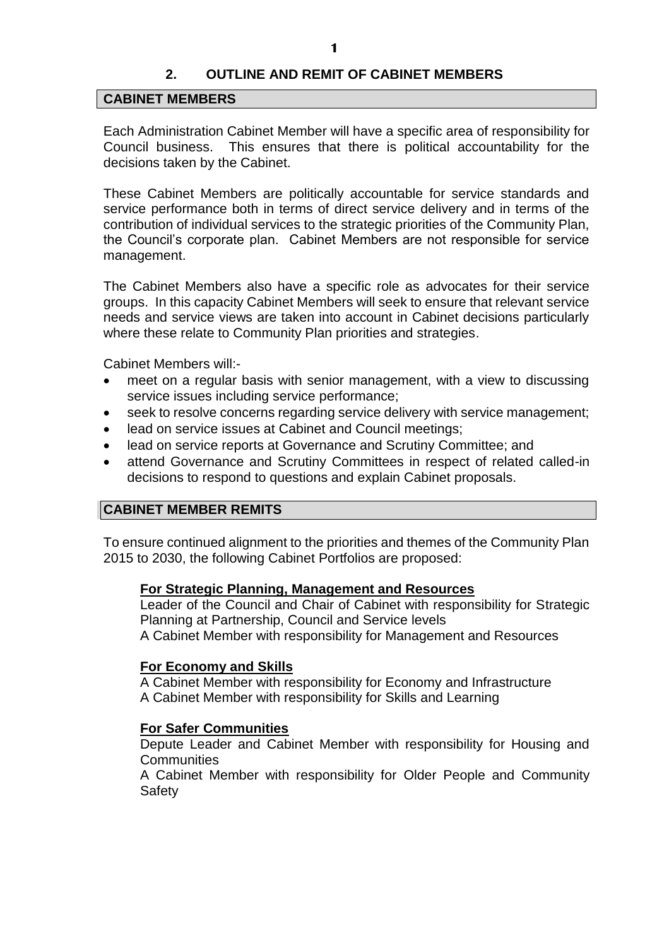## **2. OUTLINE AND REMIT OF CABINET MEMBERS**

#### **CABINET MEMBERS**

Each Administration Cabinet Member will have a specific area of responsibility for Council business. This ensures that there is political accountability for the decisions taken by the Cabinet.

These Cabinet Members are politically accountable for service standards and service performance both in terms of direct service delivery and in terms of the contribution of individual services to the strategic priorities of the Community Plan, the Council's corporate plan. Cabinet Members are not responsible for service management.

The Cabinet Members also have a specific role as advocates for their service groups. In this capacity Cabinet Members will seek to ensure that relevant service needs and service views are taken into account in Cabinet decisions particularly where these relate to Community Plan priorities and strategies.

Cabinet Members will:-

- meet on a regular basis with senior management, with a view to discussing service issues including service performance;
- seek to resolve concerns regarding service delivery with service management;
- lead on service issues at Cabinet and Council meetings;
- lead on service reports at Governance and Scrutiny Committee; and
- attend Governance and Scrutiny Committees in respect of related called-in decisions to respond to questions and explain Cabinet proposals.

### **CABINET MEMBER REMITS**

To ensure continued alignment to the priorities and themes of the Community Plan 2015 to 2030, the following Cabinet Portfolios are proposed:

#### **For Strategic Planning, Management and Resources**

Leader of the Council and Chair of Cabinet with responsibility for Strategic Planning at Partnership, Council and Service levels A Cabinet Member with responsibility for Management and Resources

#### **For Economy and Skills**

A Cabinet Member with responsibility for Economy and Infrastructure A Cabinet Member with responsibility for Skills and Learning

### **For Safer Communities**

Depute Leader and Cabinet Member with responsibility for Housing and Communities

A Cabinet Member with responsibility for Older People and Community Safety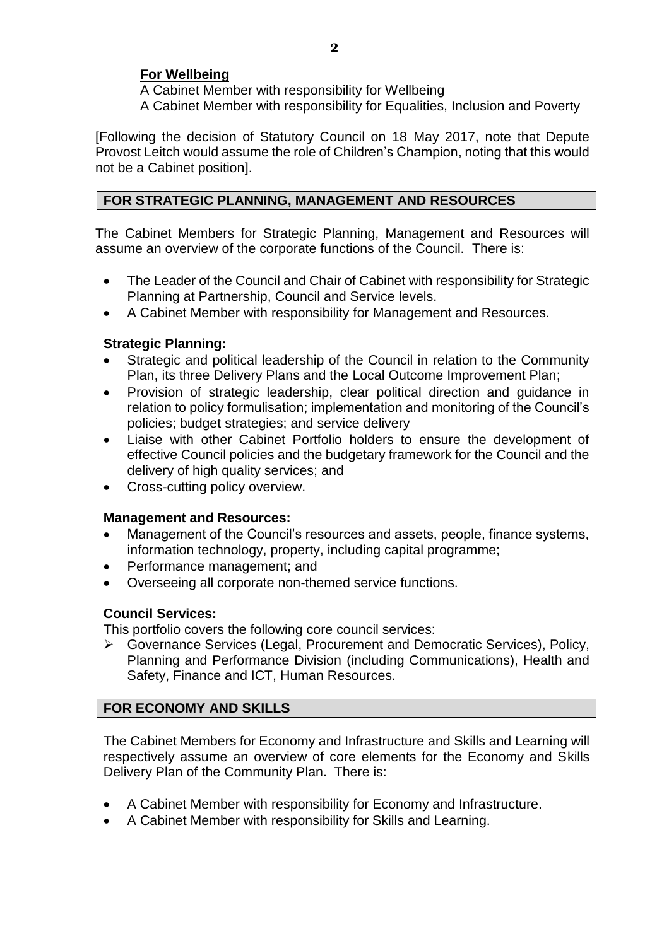# **For Wellbeing**

A Cabinet Member with responsibility for Wellbeing A Cabinet Member with responsibility for Equalities, Inclusion and Poverty

[Following the decision of Statutory Council on 18 May 2017, note that Depute Provost Leitch would assume the role of Children's Champion, noting that this would not be a Cabinet position].

# **FOR STRATEGIC PLANNING, MANAGEMENT AND RESOURCES**

The Cabinet Members for Strategic Planning, Management and Resources will assume an overview of the corporate functions of the Council. There is:

- The Leader of the Council and Chair of Cabinet with responsibility for Strategic Planning at Partnership, Council and Service levels.
- A Cabinet Member with responsibility for Management and Resources.

## **Strategic Planning:**

- Strategic and political leadership of the Council in relation to the Community Plan, its three Delivery Plans and the Local Outcome Improvement Plan;
- Provision of strategic leadership, clear political direction and guidance in relation to policy formulisation; implementation and monitoring of the Council's policies; budget strategies; and service delivery
- Liaise with other Cabinet Portfolio holders to ensure the development of effective Council policies and the budgetary framework for the Council and the delivery of high quality services; and
- Cross-cutting policy overview.

### **Management and Resources:**

- Management of the Council's resources and assets, people, finance systems, information technology, property, including capital programme;
- Performance management; and
- Overseeing all corporate non-themed service functions.

### **Council Services:**

This portfolio covers the following core council services:

 Governance Services (Legal, Procurement and Democratic Services), Policy, Planning and Performance Division (including Communications), Health and Safety, Finance and ICT, Human Resources.

### **FOR ECONOMY AND SKILLS**

The Cabinet Members for Economy and Infrastructure and Skills and Learning will respectively assume an overview of core elements for the Economy and Skills Delivery Plan of the Community Plan. There is:

- A Cabinet Member with responsibility for Economy and Infrastructure.
- A Cabinet Member with responsibility for Skills and Learning.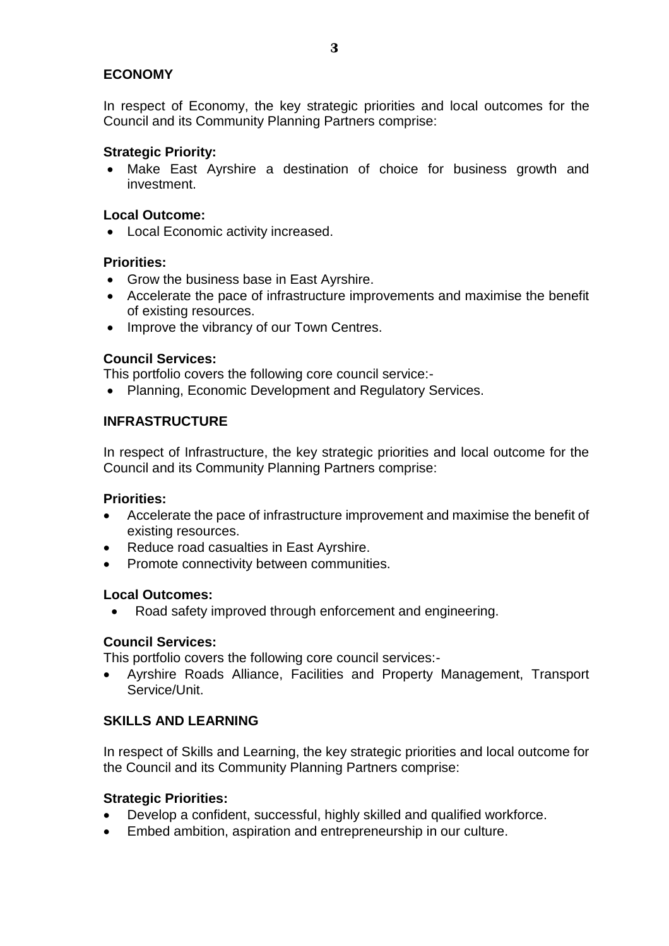# **ECONOMY**

In respect of Economy, the key strategic priorities and local outcomes for the Council and its Community Planning Partners comprise:

### **Strategic Priority:**

 Make East Ayrshire a destination of choice for business growth and investment.

## **Local Outcome:**

Local Economic activity increased.

## **Priorities:**

- Grow the business base in East Ayrshire.
- Accelerate the pace of infrastructure improvements and maximise the benefit of existing resources.
- Improve the vibrancy of our Town Centres.

## **Council Services:**

This portfolio covers the following core council service:-

• Planning, Economic Development and Regulatory Services.

# **INFRASTRUCTURE**

In respect of Infrastructure, the key strategic priorities and local outcome for the Council and its Community Planning Partners comprise:

### **Priorities:**

- Accelerate the pace of infrastructure improvement and maximise the benefit of existing resources.
- Reduce road casualties in East Ayrshire.
- Promote connectivity between communities.

### **Local Outcomes:**

Road safety improved through enforcement and engineering.

### **Council Services:**

This portfolio covers the following core council services:-

 Ayrshire Roads Alliance, Facilities and Property Management, Transport Service/Unit.

# **SKILLS AND LEARNING**

In respect of Skills and Learning, the key strategic priorities and local outcome for the Council and its Community Planning Partners comprise:

# **Strategic Priorities:**

- Develop a confident, successful, highly skilled and qualified workforce.
- Embed ambition, aspiration and entrepreneurship in our culture.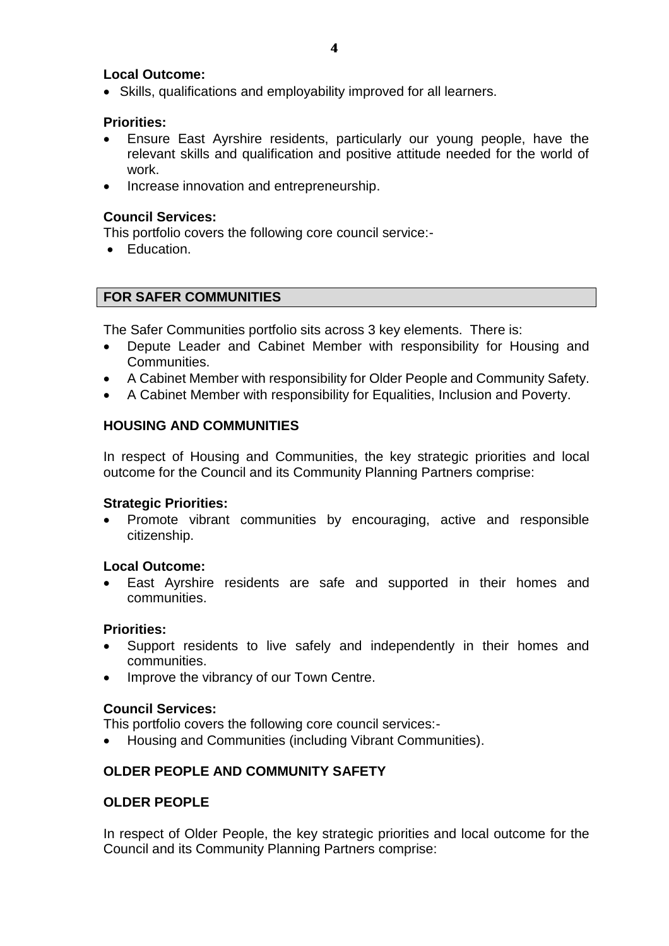# **Local Outcome:**

Skills, qualifications and employability improved for all learners.

### **Priorities:**

- Ensure East Ayrshire residents, particularly our young people, have the relevant skills and qualification and positive attitude needed for the world of work.
- Increase innovation and entrepreneurship.

## **Council Services:**

This portfolio covers the following core council service:-

• Education.

# **FOR SAFER COMMUNITIES**

The Safer Communities portfolio sits across 3 key elements. There is:

- Depute Leader and Cabinet Member with responsibility for Housing and Communities.
- A Cabinet Member with responsibility for Older People and Community Safety.
- A Cabinet Member with responsibility for Equalities, Inclusion and Poverty.

# **HOUSING AND COMMUNITIES**

In respect of Housing and Communities, the key strategic priorities and local outcome for the Council and its Community Planning Partners comprise:

### **Strategic Priorities:**

 Promote vibrant communities by encouraging, active and responsible citizenship.

### **Local Outcome:**

 East Ayrshire residents are safe and supported in their homes and communities.

### **Priorities:**

- Support residents to live safely and independently in their homes and communities.
- Improve the vibrancy of our Town Centre.

### **Council Services:**

This portfolio covers the following core council services:-

Housing and Communities (including Vibrant Communities).

# **OLDER PEOPLE AND COMMUNITY SAFETY**

# **OLDER PEOPLE**

In respect of Older People, the key strategic priorities and local outcome for the Council and its Community Planning Partners comprise: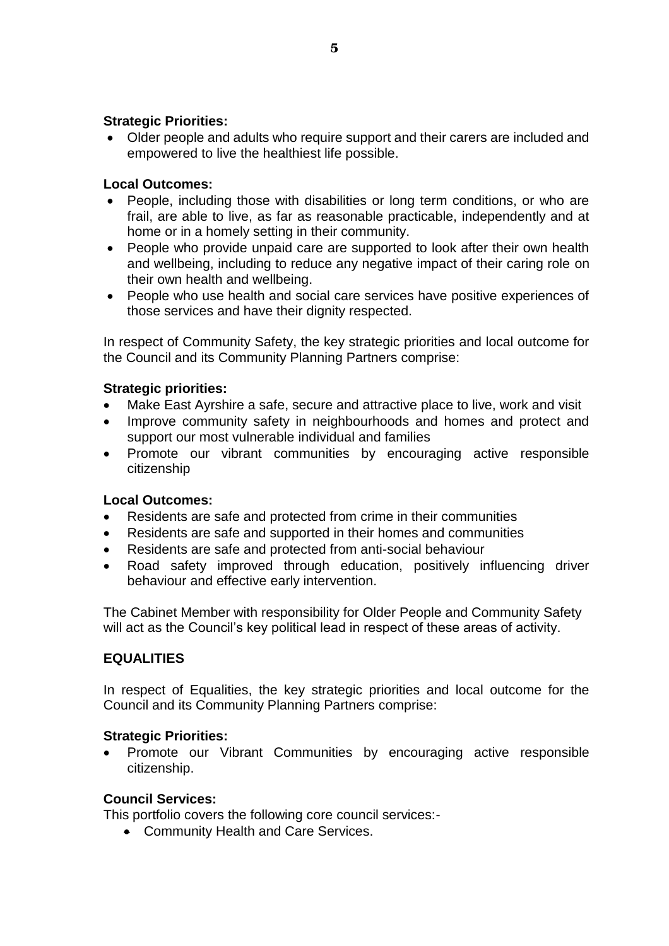### **Strategic Priorities:**

 Older people and adults who require support and their carers are included and empowered to live the healthiest life possible.

# **Local Outcomes:**

- People, including those with disabilities or long term conditions, or who are frail, are able to live, as far as reasonable practicable, independently and at home or in a homely setting in their community.
- People who provide unpaid care are supported to look after their own health and wellbeing, including to reduce any negative impact of their caring role on their own health and wellbeing.
- People who use health and social care services have positive experiences of those services and have their dignity respected.

In respect of Community Safety, the key strategic priorities and local outcome for the Council and its Community Planning Partners comprise:

## **Strategic priorities:**

- Make East Ayrshire a safe, secure and attractive place to live, work and visit
- Improve community safety in neighbourhoods and homes and protect and support our most vulnerable individual and families
- Promote our vibrant communities by encouraging active responsible citizenship

# **Local Outcomes:**

- Residents are safe and protected from crime in their communities
- Residents are safe and supported in their homes and communities
- Residents are safe and protected from anti-social behaviour
- Road safety improved through education, positively influencing driver behaviour and effective early intervention.

The Cabinet Member with responsibility for Older People and Community Safety will act as the Council's key political lead in respect of these areas of activity.

# **EQUALITIES**

In respect of Equalities, the key strategic priorities and local outcome for the Council and its Community Planning Partners comprise:

### **Strategic Priorities:**

 Promote our Vibrant Communities by encouraging active responsible citizenship.

### **Council Services:**

This portfolio covers the following core council services:-

• Community Health and Care Services.